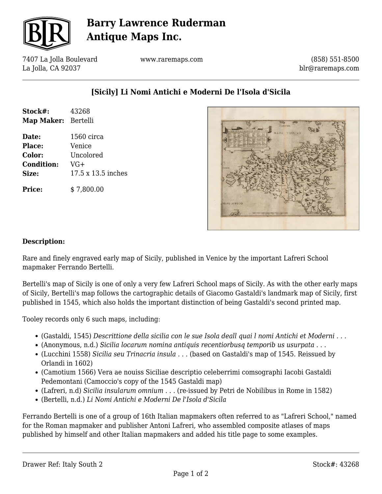

# **Barry Lawrence Ruderman Antique Maps Inc.**

7407 La Jolla Boulevard La Jolla, CA 92037

www.raremaps.com

(858) 551-8500 blr@raremaps.com

### **[Sicily] Li Nomi Antichi e Moderni De l'Isola d'Sicila**

| Stock#:<br>Map Maker: Bertelli | 43268              |
|--------------------------------|--------------------|
| Date:                          | 1560 circa         |
| Place:                         | Venice             |
| Color:                         | Uncolored          |
| <b>Condition:</b>              | $VG+$              |
| Size:                          | 17.5 x 13.5 inches |
| Price:                         | \$7,800.00         |



#### **Description:**

Rare and finely engraved early map of Sicily, published in Venice by the important Lafreri School mapmaker Ferrando Bertelli.

Bertelli's map of Sicily is one of only a very few Lafreri School maps of Sicily. As with the other early maps of Sicily, Bertelli's map follows the cartographic details of Giacomo Gastaldi's landmark map of Sicily, first published in 1545, which also holds the important distinction of being Gastaldi's second printed map.

Tooley records only 6 such maps, including:

- (Gastaldi, 1545) *Descrittione della sicilia con le sue Isola deall quai l nomi Antichi et Moderni . . .*
- (Anonymous, n.d.) *Sicilia locarum nomina antiquis recentiorbusq temporib us usurpata* . . .
- (Lucchini 1558) *Sicilia seu Trinacria insula* . . . (based on Gastaldi's map of 1545. Reissued by Orlandi in 1602)
- (Camotium 1566) Vera ae nouiss Siciliae descriptio celeberrimi comsographi Iacobi Gastaldi Pedemontani (Camoccio's copy of the 1545 Gastaldi map)
- (Lafreri, n.d) *Sicilia insularum omnium* . . . (re-issued by Petri de Nobilibus in Rome in 1582)
- (Bertelli, n.d.) *Li Nomi Antichi e Moderni De l'Isola d'Sicila*

Ferrando Bertelli is one of a group of 16th Italian mapmakers often referred to as "Lafreri School," named for the Roman mapmaker and publisher Antoni Lafreri, who assembled composite atlases of maps published by himself and other Italian mapmakers and added his title page to some examples.